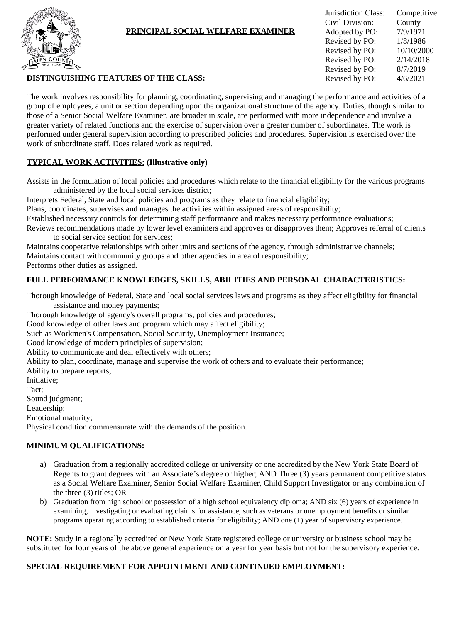

# **PRINCIPAL SOCIAL WELFARE EXAMINER**

| Jurisdiction Class:<br>Civil Division:<br>Adopted by PO:<br>Revised by PO:<br>Revised by PO:<br>Revised by PO:<br>Revised by PO: | Competitive<br>County<br>7/9/1971<br>1/8/1986<br>10/10/2000<br>2/14/2018<br>8/7/2019 |
|----------------------------------------------------------------------------------------------------------------------------------|--------------------------------------------------------------------------------------|
| Revised by PO:                                                                                                                   | 4/6/2021                                                                             |
|                                                                                                                                  |                                                                                      |

### **DISTINGUISHING FEATURES OF THE CLASS:**

The work involves responsibility for planning, coordinating, supervising and managing the performance and activities of a group of employees, a unit or section depending upon the organizational structure of the agency. Duties, though similar to those of a Senior Social Welfare Examiner, are broader in scale, are performed with more independence and involve a greater variety of related functions and the exercise of supervision over a greater number of subordinates. The work is performed under general supervision according to prescribed policies and procedures. Supervision is exercised over the work of subordinate staff. Does related work as required.

## **TYPICAL WORK ACTIVITIES: (Illustrative only)**

Assists in the formulation of local policies and procedures which relate to the financial eligibility for the various programs administered by the local social services district;

Interprets Federal, State and local policies and programs as they relate to financial eligibility;

Plans, coordinates, supervises and manages the activities within assigned areas of responsibility;

Established necessary controls for determining staff performance and makes necessary performance evaluations;

Reviews recommendations made by lower level examiners and approves or disapproves them; Approves referral of clients to social service section for services;

Maintains cooperative relationships with other units and sections of the agency, through administrative channels; Maintains contact with community groups and other agencies in area of responsibility; Performs other duties as assigned.

## **FULL PERFORMANCE KNOWLEDGES, SKILLS, ABILITIES AND PERSONAL CHARACTERISTICS:**

Thorough knowledge of Federal, State and local social services laws and programs as they affect eligibility for financial assistance and money payments;

Thorough knowledge of agency's overall programs, policies and procedures;

Good knowledge of other laws and program which may affect eligibility;

Such as Workmen's Compensation, Social Security, Unemployment Insurance;

Good knowledge of modern principles of supervision;

Ability to communicate and deal effectively with others;

Ability to plan, coordinate, manage and supervise the work of others and to evaluate their performance;

Ability to prepare reports;

Initiative;

Tact;

Sound judgment;

Leadership;

Emotional maturity;

Physical condition commensurate with the demands of the position.

#### **MINIMUM QUALIFICATIONS:**

- a) Graduation from a regionally accredited college or university or one accredited by the New York State Board of Regents to grant degrees with an Associate's degree or higher; AND Three (3) years permanent competitive status as a Social Welfare Examiner, Senior Social Welfare Examiner, Child Support Investigator or any combination of the three (3) titles; OR
- b) Graduation from high school or possession of a high school equivalency diploma; AND six (6) years of experience in examining, investigating or evaluating claims for assistance, such as veterans or unemployment benefits or similar programs operating according to established criteria for eligibility; AND one (1) year of supervisory experience.

**NOTE:** Study in a regionally accredited or New York State registered college or university or business school may be substituted for four years of the above general experience on a year for year basis but not for the supervisory experience.

#### **SPECIAL REQUIREMENT FOR APPOINTMENT AND CONTINUED EMPLOYMENT:**